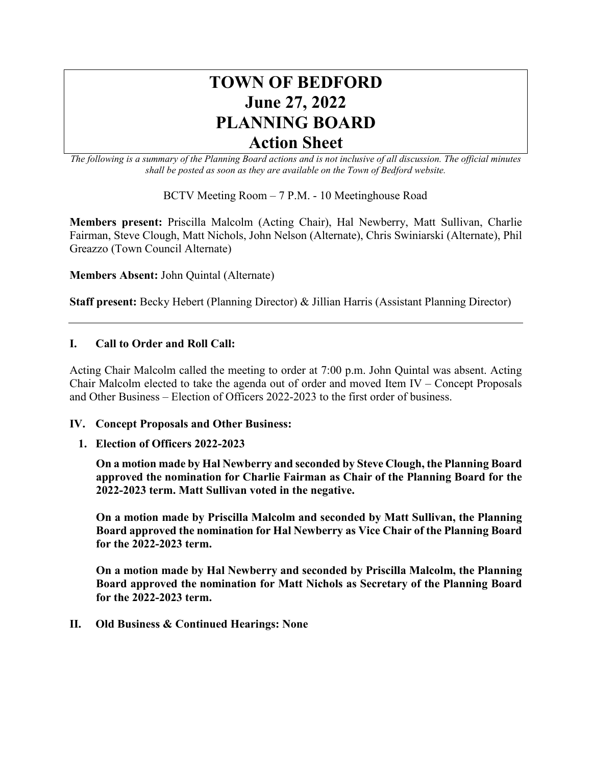# **TOWN OF BEDFORD June 27, 2022 PLANNING BOARD Action Sheet**

*The following is a summary of the Planning Board actions and is not inclusive of all discussion. The official minutes shall be posted as soon as they are available on the Town of Bedford website.*

BCTV Meeting Room – 7 P.M. - 10 Meetinghouse Road

**Members present:** Priscilla Malcolm (Acting Chair), Hal Newberry, Matt Sullivan, Charlie Fairman, Steve Clough, Matt Nichols, John Nelson (Alternate), Chris Swiniarski (Alternate), Phil Greazzo (Town Council Alternate)

**Members Absent:** John Quintal (Alternate)

**Staff present:** Becky Hebert (Planning Director) & Jillian Harris (Assistant Planning Director)

## **I. Call to Order and Roll Call:**

Acting Chair Malcolm called the meeting to order at 7:00 p.m. John Quintal was absent. Acting Chair Malcolm elected to take the agenda out of order and moved Item IV – Concept Proposals and Other Business – Election of Officers 2022-2023 to the first order of business.

### **IV. Concept Proposals and Other Business:**

**1. Election of Officers 2022-2023**

**On a motion made by Hal Newberry and seconded by Steve Clough, the Planning Board approved the nomination for Charlie Fairman as Chair of the Planning Board for the 2022-2023 term. Matt Sullivan voted in the negative.**

**On a motion made by Priscilla Malcolm and seconded by Matt Sullivan, the Planning Board approved the nomination for Hal Newberry as Vice Chair of the Planning Board for the 2022-2023 term.** 

**On a motion made by Hal Newberry and seconded by Priscilla Malcolm, the Planning Board approved the nomination for Matt Nichols as Secretary of the Planning Board for the 2022-2023 term.** 

**II. Old Business & Continued Hearings: None**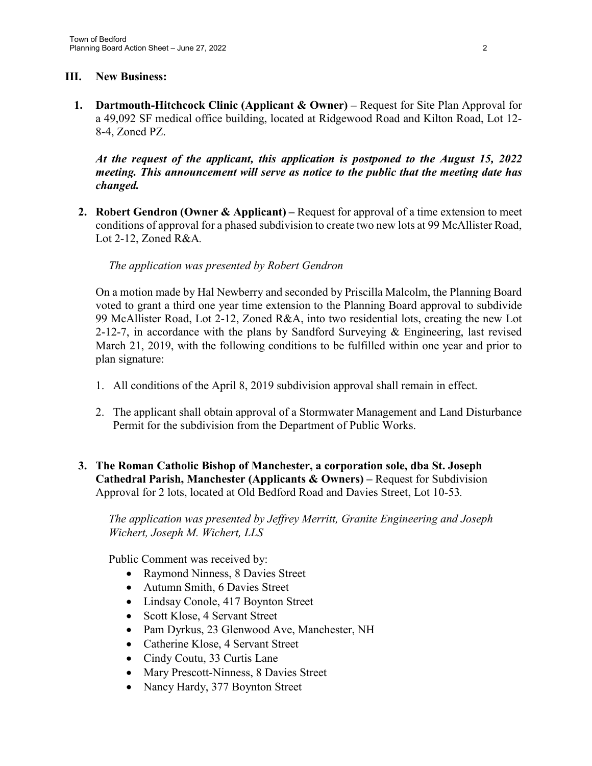# **III. New Business:**

**1. Dartmouth-Hitchcock Clinic (Applicant & Owner) –** Request for Site Plan Approval for a 49,092 SF medical office building, located at Ridgewood Road and Kilton Road, Lot 12- 8-4, Zoned PZ.

*At the request of the applicant, this application is postponed to the August 15, 2022 meeting. This announcement will serve as notice to the public that the meeting date has changed.* 

**2. Robert Gendron (Owner & Applicant) –** Request for approval of a time extension to meet conditions of approval for a phased subdivision to create two new lots at 99 McAllister Road, Lot 2-12, Zoned R&A*.*

## *The application was presented by Robert Gendron*

On a motion made by Hal Newberry and seconded by Priscilla Malcolm, the Planning Board voted to grant a third one year time extension to the Planning Board approval to subdivide 99 McAllister Road, Lot 2-12, Zoned R&A, into two residential lots, creating the new Lot 2-12-7, in accordance with the plans by Sandford Surveying & Engineering, last revised March 21, 2019, with the following conditions to be fulfilled within one year and prior to plan signature:

- 1. All conditions of the April 8, 2019 subdivision approval shall remain in effect.
- 2. The applicant shall obtain approval of a Stormwater Management and Land Disturbance Permit for the subdivision from the Department of Public Works.
- **3. The Roman Catholic Bishop of Manchester, a corporation sole, dba St. Joseph Cathedral Parish, Manchester (Applicants & Owners) –** Request for Subdivision Approval for 2 lots, located at Old Bedford Road and Davies Street, Lot 10-53*.*

*The application was presented by Jeffrey Merritt, Granite Engineering and Joseph Wichert, Joseph M. Wichert, LLS*

Public Comment was received by:

- Raymond Ninness, 8 Davies Street
- Autumn Smith, 6 Davies Street
- Lindsay Conole, 417 Boynton Street
- Scott Klose, 4 Servant Street
- Pam Dyrkus, 23 Glenwood Ave, Manchester, NH
- Catherine Klose, 4 Servant Street
- Cindy Coutu, 33 Curtis Lane
- Mary Prescott-Ninness, 8 Davies Street
- Nancy Hardy, 377 Boynton Street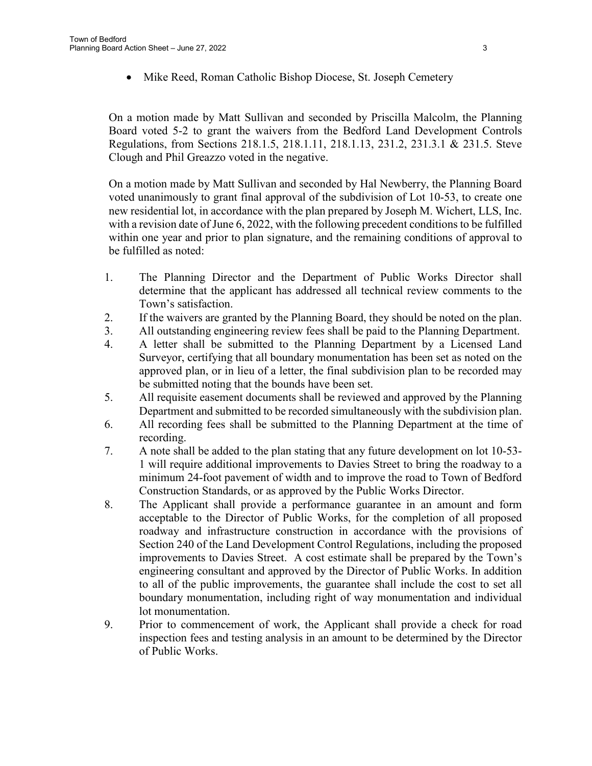Mike Reed, Roman Catholic Bishop Diocese, St. Joseph Cemetery

On a motion made by Matt Sullivan and seconded by Priscilla Malcolm, the Planning Board voted 5-2 to grant the waivers from the Bedford Land Development Controls Regulations, from Sections 218.1.5, 218.1.11, 218.1.13, 231.2, 231.3.1 & 231.5. Steve Clough and Phil Greazzo voted in the negative.

On a motion made by Matt Sullivan and seconded by Hal Newberry, the Planning Board voted unanimously to grant final approval of the subdivision of Lot 10-53, to create one new residential lot, in accordance with the plan prepared by Joseph M. Wichert, LLS, Inc. with a revision date of June 6, 2022, with the following precedent conditions to be fulfilled within one year and prior to plan signature, and the remaining conditions of approval to be fulfilled as noted:

- 1. The Planning Director and the Department of Public Works Director shall determine that the applicant has addressed all technical review comments to the Town's satisfaction.
- 2. If the waivers are granted by the Planning Board, they should be noted on the plan.
- 3. All outstanding engineering review fees shall be paid to the Planning Department.
- 4. A letter shall be submitted to the Planning Department by a Licensed Land Surveyor, certifying that all boundary monumentation has been set as noted on the approved plan, or in lieu of a letter, the final subdivision plan to be recorded may be submitted noting that the bounds have been set.
- 5. All requisite easement documents shall be reviewed and approved by the Planning Department and submitted to be recorded simultaneously with the subdivision plan.
- 6. All recording fees shall be submitted to the Planning Department at the time of recording.
- 7. A note shall be added to the plan stating that any future development on lot 10-53- 1 will require additional improvements to Davies Street to bring the roadway to a minimum 24-foot pavement of width and to improve the road to Town of Bedford Construction Standards, or as approved by the Public Works Director.
- 8. The Applicant shall provide a performance guarantee in an amount and form acceptable to the Director of Public Works, for the completion of all proposed roadway and infrastructure construction in accordance with the provisions of Section 240 of the Land Development Control Regulations, including the proposed improvements to Davies Street. A cost estimate shall be prepared by the Town's engineering consultant and approved by the Director of Public Works. In addition to all of the public improvements, the guarantee shall include the cost to set all boundary monumentation, including right of way monumentation and individual lot monumentation.
- 9. Prior to commencement of work, the Applicant shall provide a check for road inspection fees and testing analysis in an amount to be determined by the Director of Public Works.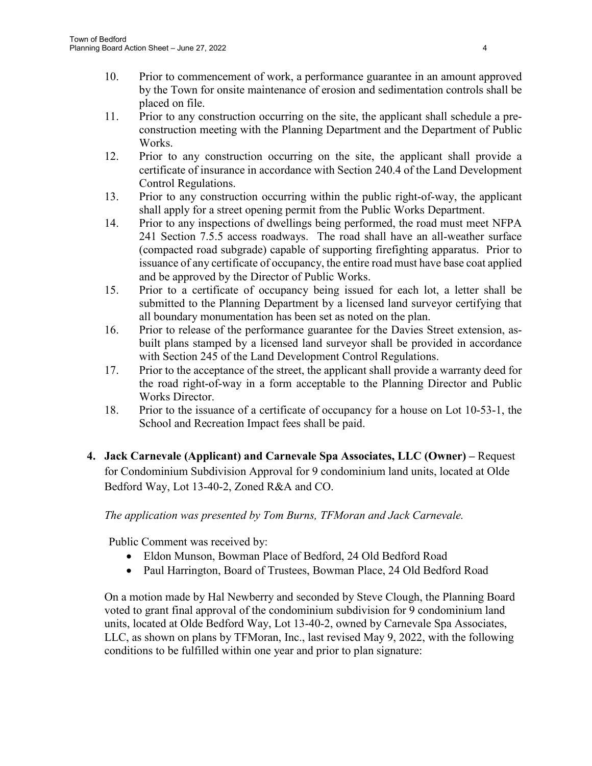- 10. Prior to commencement of work, a performance guarantee in an amount approved by the Town for onsite maintenance of erosion and sedimentation controls shall be placed on file.
- 11. Prior to any construction occurring on the site, the applicant shall schedule a preconstruction meeting with the Planning Department and the Department of Public Works.
- 12. Prior to any construction occurring on the site, the applicant shall provide a certificate of insurance in accordance with Section 240.4 of the Land Development Control Regulations.
- 13. Prior to any construction occurring within the public right-of-way, the applicant shall apply for a street opening permit from the Public Works Department.
- 14. Prior to any inspections of dwellings being performed, the road must meet NFPA 241 Section 7.5.5 access roadways. The road shall have an all-weather surface (compacted road subgrade) capable of supporting firefighting apparatus. Prior to issuance of any certificate of occupancy, the entire road must have base coat applied and be approved by the Director of Public Works.
- 15. Prior to a certificate of occupancy being issued for each lot, a letter shall be submitted to the Planning Department by a licensed land surveyor certifying that all boundary monumentation has been set as noted on the plan.
- 16. Prior to release of the performance guarantee for the Davies Street extension, asbuilt plans stamped by a licensed land surveyor shall be provided in accordance with Section 245 of the Land Development Control Regulations.
- 17. Prior to the acceptance of the street, the applicant shall provide a warranty deed for the road right-of-way in a form acceptable to the Planning Director and Public Works Director.
- 18. Prior to the issuance of a certificate of occupancy for a house on Lot 10-53-1, the School and Recreation Impact fees shall be paid.
- **4. Jack Carnevale (Applicant) and Carnevale Spa Associates, LLC (Owner) –** Request for Condominium Subdivision Approval for 9 condominium land units, located at Olde Bedford Way, Lot 13-40-2, Zoned R&A and CO.

# *The application was presented by Tom Burns, TFMoran and Jack Carnevale.*

Public Comment was received by:

- Eldon Munson, Bowman Place of Bedford, 24 Old Bedford Road
- Paul Harrington, Board of Trustees, Bowman Place, 24 Old Bedford Road

On a motion made by Hal Newberry and seconded by Steve Clough, the Planning Board voted to grant final approval of the condominium subdivision for 9 condominium land units, located at Olde Bedford Way, Lot 13-40-2, owned by Carnevale Spa Associates, LLC, as shown on plans by TFMoran, Inc., last revised May 9, 2022, with the following conditions to be fulfilled within one year and prior to plan signature: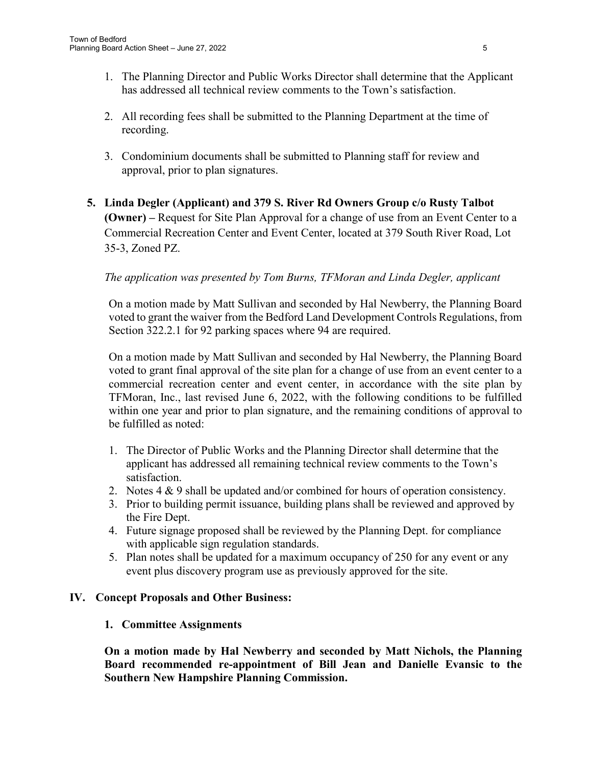- 1. The Planning Director and Public Works Director shall determine that the Applicant has addressed all technical review comments to the Town's satisfaction.
- 2. All recording fees shall be submitted to the Planning Department at the time of recording.
- 3. Condominium documents shall be submitted to Planning staff for review and approval, prior to plan signatures.
- **5. Linda Degler (Applicant) and 379 S. River Rd Owners Group c/o Rusty Talbot (Owner) –** Request for Site Plan Approval for a change of use from an Event Center to a Commercial Recreation Center and Event Center, located at 379 South River Road, Lot 35-3, Zoned PZ.

# *The application was presented by Tom Burns, TFMoran and Linda Degler, applicant*

On a motion made by Matt Sullivan and seconded by Hal Newberry, the Planning Board voted to grant the waiver from the Bedford Land Development Controls Regulations, from Section 322.2.1 for 92 parking spaces where 94 are required.

On a motion made by Matt Sullivan and seconded by Hal Newberry, the Planning Board voted to grant final approval of the site plan for a change of use from an event center to a commercial recreation center and event center, in accordance with the site plan by TFMoran, Inc., last revised June 6, 2022, with the following conditions to be fulfilled within one year and prior to plan signature, and the remaining conditions of approval to be fulfilled as noted:

- 1. The Director of Public Works and the Planning Director shall determine that the applicant has addressed all remaining technical review comments to the Town's satisfaction.
- 2. Notes 4 & 9 shall be updated and/or combined for hours of operation consistency.
- 3. Prior to building permit issuance, building plans shall be reviewed and approved by the Fire Dept.
- 4. Future signage proposed shall be reviewed by the Planning Dept. for compliance with applicable sign regulation standards.
- 5. Plan notes shall be updated for a maximum occupancy of 250 for any event or any event plus discovery program use as previously approved for the site.

# **IV. Concept Proposals and Other Business:**

### **1. Committee Assignments**

**On a motion made by Hal Newberry and seconded by Matt Nichols, the Planning Board recommended re-appointment of Bill Jean and Danielle Evansic to the Southern New Hampshire Planning Commission.**